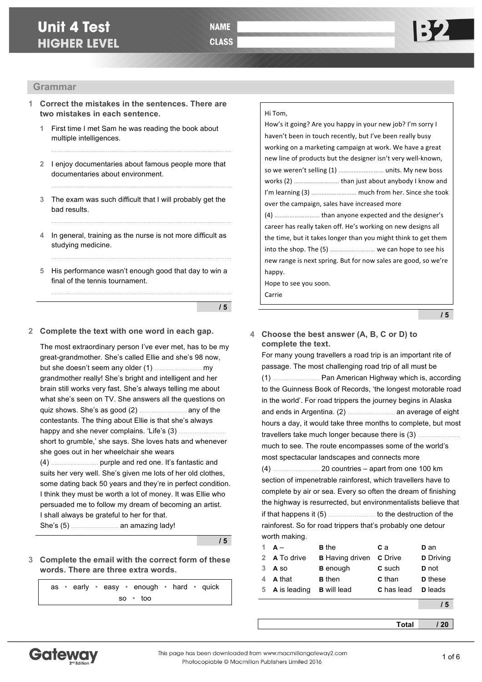# **Unit 4 Test HIGHER LEVEL**



# **Grammar**

- **1 Correct the mistakes in the sentences. There are two mistakes in each sentence.**
	- **1** First time I met Sam he was reading the book about multiple intelligences.
	- **2** I enjoy documentaries about famous people more that documentaries about environment.

………..……..………..……..………..……..………..……..………..……..………..

**3** The exam was such difficult that I will probably get the bad results.

………..……..………..……..………..……..………..……..………..……..………..

………..……..………..……..………..……..………..……..………..……..………..

- **4** In general, training as the nurse is not more difficult as studying medicine.
- **5** His performance wasn't enough good that day to win a final of the tennis tournament.

**/ 5**

#### **2 Complete the text with one word in each gap.**

The most extraordinary person I've ever met, has to be my great-grandmother. She's called Ellie and she's 98 now, but she doesn't seem any older (1) ……………………… my grandmother really! She's bright and intelligent and her brain still works very fast. She's always telling me about what she's seen on TV. She answers all the questions on quiz shows. She's as good (2) ……………………… any of the contestants. The thing about Ellie is that she's always happy and she never complains. 'Life's (3) ....... short to grumble,' she says. She loves hats and whenever she goes out in her wheelchair she wears (4) ……………………… purple and red one. It's fantastic and suits her very well. She's given me lots of her old clothes, some dating back 50 years and they're in perfect condition. I think they must be worth a lot of money. It was Ellie who persuaded me to follow my dream of becoming an artist. I shall always be grateful to her for that. She's (5) ……………………… an amazing lady!

**/ 5**

**3 Complete the email with the correct form of these words. There are three extra words.**

as • early • easy • enough • hard • quick so • too

#### Hi Tom,

How's it going? Are you happy in your new job? I'm sorry I haven't been in touch recently, but I've been really busy working on a marketing campaign at work. We have a great new line of products but the designer isn't very well-known, so we weren't selling (1) ............................. units. My new boss works (2) ……………………… than just about anybody I know and I'm learning (3) ……………………… much from her. Since she took over the campaign, sales have increased more (4) ……………………… than anyone expected and the designer's career has really taken off. He's working on new designs all the time, but it takes longer than you might think to get them into the shop. The (5) ............................ we can hope to see his new range is next spring. But for now sales are good, so we're happy. Hope to see you soon.

Carrie

**/ 5**

### **4 Choose the best answer (A, B, C or D) to complete the text.**

For many young travellers a road trip is an important rite of passage. The most challenging road trip of all must be (1) ……………………… Pan American Highway which is, according to the Guinness Book of Records, 'the longest motorable road in the world'. For road trippers the journey begins in Alaska and ends in Argentina. (2) ……………………… an average of eight hours a day, it would take three months to complete, but most travellers take much longer because there is (3) ......... much to see. The route encompasses some of the world's most spectacular landscapes and connects more (4) ……………………… 20 countries – apart from one 100 km section of impenetrable rainforest, which travellers have to complete by air or sea. Every so often the dream of finishing the highway is resurrected, but environmentalists believe that if that happens it (5) ……………………… to the destruction of the rainforest. So for road trippers that's probably one detour worth making.

|   | $A -$          | <b>B</b> the                          | C a           | <b>D</b> an      |
|---|----------------|---------------------------------------|---------------|------------------|
|   | 2 A To drive   | <b>B</b> Having driven <b>C</b> Drive |               | <b>D</b> Driving |
| 3 | A so           | <b>B</b> enough                       | <b>C</b> such | <b>D</b> not     |
|   | A that         | <b>B</b> then                         | <b>C</b> than | <b>D</b> these   |
|   | 5 A is leading | <b>B</b> will lead                    | C has lead    | <b>D</b> leads   |
|   |                |                                       |               |                  |

**/ 5**

**Total / 20**

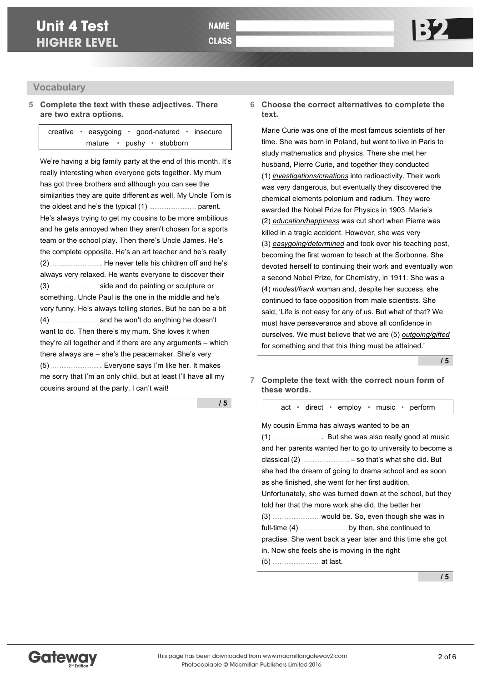# **Vocabulary**

# **5 Complete the text with these adjectives. There are two extra options.**

creative • easygoing • good-natured • insecure mature • pushy • stubborn

We're having a big family party at the end of this month. It's really interesting when everyone gets together. My mum has got three brothers and although you can see the similarities they are quite different as well. My Uncle Tom is the oldest and he's the typical (1) ……………………… parent. He's always trying to get my cousins to be more ambitious and he gets annoyed when they aren't chosen for a sports team or the school play. Then there's Uncle James. He's the complete opposite. He's an art teacher and he's really (2) ……………………… . He never tells his children off and he's always very relaxed. He wants everyone to discover their (3) ……………………… side and do painting or sculpture or something. Uncle Paul is the one in the middle and he's very funny. He's always telling stories. But he can be a bit (4) ……………………… and he won't do anything he doesn't want to do. Then there's my mum. She loves it when they're all together and if there are any arguments – which there always are – she's the peacemaker. She's very (5) ……………………… . Everyone says I'm like her. It makes me sorry that I'm an only child, but at least I'll have all my cousins around at the party. I can't wait!

**/ 5**

### **6 Choose the correct alternatives to complete the text.**

Marie Curie was one of the most famous scientists of her time. She was born in Poland, but went to live in Paris to study mathematics and physics. There she met her husband, Pierre Curie, and together they conducted (1) *investigations/creations* into radioactivity. Their work was very dangerous, but eventually they discovered the chemical elements polonium and radium. They were awarded the Nobel Prize for Physics in 1903. Marie's (2) *education/happiness* was cut short when Pierre was killed in a tragic accident. However, she was very (3) *easygoing/determined* and took over his teaching post, becoming the first woman to teach at the Sorbonne. She devoted herself to continuing their work and eventually won a second Nobel Prize, for Chemistry, in 1911. She was a (4) *modest/frank* woman and, despite her success, she continued to face opposition from male scientists. She said, 'Life is not easy for any of us. But what of that? We must have perseverance and above all confidence in ourselves. We must believe that we are (5) *outgoing/gifted* for something and that this thing must be attained.'

**/ 5**

**7 Complete the text with the correct noun form of these words.**

act • direct • employ • music • perform

| My cousin Emma has always wanted to be an                  |
|------------------------------------------------------------|
|                                                            |
| and her parents wanted her to go to university to become a |
|                                                            |
| she had the dream of going to drama school and as soon     |
| as she finished, she went for her first audition.          |
| Unfortunately, she was turned down at the school, but they |
| told her that the more work she did, the better her        |
|                                                            |
|                                                            |
| practise. She went back a year later and this time she got |
| in. Now she feels she is moving in the right               |
|                                                            |

**/ 5**

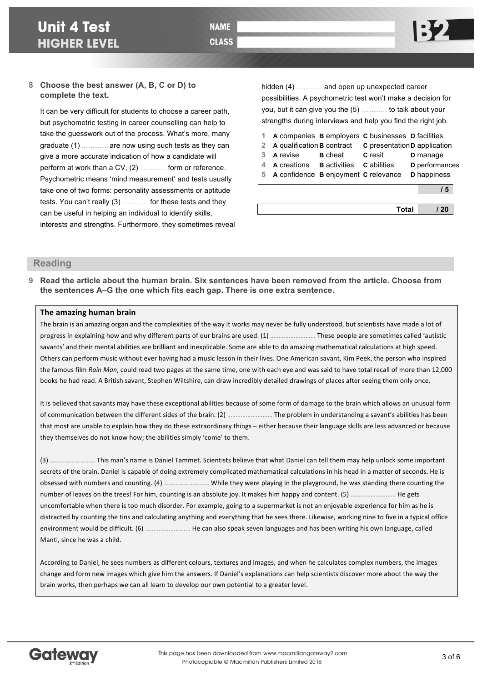# **8 Choose the best answer (A, B, C or D) to complete the text.**

It can be very difficult for students to choose a career path, but psychometric testing in career counselling can help to take the guesswork out of the process. What's more, many graduate (1) …………… are now using such tests as they can give a more accurate indication of how a candidate will perform at work than a CV, (2) …………… form or reference. Psychometric means 'mind measurement' and tests usually take one of two forms: personality assessments or aptitude tests. You can't really (3) …………… for these tests and they can be useful in helping an individual to identify skills, interests and strengths. Furthermore, they sometimes reveal

hidden (4) …………… and open up unexpected career possibilities. A psychometric test won't make a decision for you, but it can give you the (5) …………… to talk about your strengths during interviews and help you find the right job.

|             |                                                           |                | A companies <b>B</b> employers <b>C</b> businesses <b>D</b> facilities |                 |
|-------------|-----------------------------------------------------------|----------------|------------------------------------------------------------------------|-----------------|
| $2^{\circ}$ | A qualification <b>B</b> contract                         |                | C presentation D application                                           |                 |
| 3           | A revise                                                  | <b>B</b> cheat | <b>C</b> resit                                                         | <b>D</b> manage |
|             | <b>A</b> creations <b>B</b> activities <b>C</b> abilities |                |                                                                        | D performances  |
| 5           | A confidence B enjoyment C relevance                      |                |                                                                        | D happiness     |
|             |                                                           |                |                                                                        | / 5             |
|             |                                                           |                |                                                                        |                 |
|             |                                                           |                | <b>Total</b>                                                           |                 |

# **Reading**

**9 Read the article about the human brain. Six sentences have been removed from the article. Choose from the sentences A–G the one which fits each gap. There is one extra sentence.**

### **The amazing human brain**

The brain is an amazing organ and the complexities of the way it works may never be fully understood, but scientists have made a lot of progress in explaining how and why different parts of our brains are used. (1) ……………………… These people are sometimes called 'autistic savants' and their mental abilities are brilliant and inexplicable. Some are able to do amazing mathematical calculations at high speed. Others can perform music without ever having had a music lesson in their lives. One American savant, Kim Peek, the person who inspired the famous film *Rain Man*, could read two pages at the same time, one with each eye and was said to have total recall of more than 12,000 books he had read. A British savant, Stephen Wiltshire, can draw incredibly detailed drawings of places after seeing them only once.

It is believed that savants may have these exceptional abilities because of some form of damage to the brain which allows an unusual form of communication between the different sides of the brain. (2) ................................. The problem in understanding a savant's abilities has been that most are unable to explain how they do these extraordinary things – either because their language skills are less advanced or because they themselves do not know how; the abilities simply 'come' to them.

(3) ……………………… This man's name is Daniel Tammet. Scientists believe that what Daniel can tell them may help unlock some important secrets of the brain. Daniel is capable of doing extremely complicated mathematical calculations in his head in a matter of seconds. He is obsessed with numbers and counting. (4) ……………………… While they were playing in the playground, he was standing there counting the number of leaves on the trees! For him, counting is an absolute joy. It makes him happy and content. (5) …………………………… He gets uncomfortable when there is too much disorder. For example, going to a supermarket is not an enjoyable experience for him as he is distracted by counting the tins and calculating anything and everything that he sees there. Likewise, working nine to five in a typical office environment would be difficult. (6) ……………………… He can also speak seven languages and has been writing his own language, called Manti, since he was a child.

According to Daniel, he sees numbers as different colours, textures and images, and when he calculates complex numbers, the images change and form new images which give him the answers. If Daniel's explanations can help scientists discover more about the way the brain works, then perhaps we can all learn to develop our own potential to a greater level.

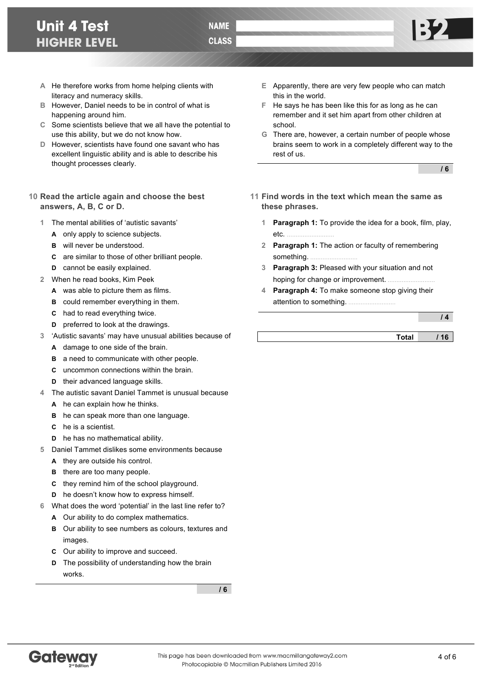- **A** He therefore works from home helping clients with literacy and numeracy skills.
- **B** However, Daniel needs to be in control of what is happening around him.
- **C** Some scientists believe that we all have the potential to use this ability, but we do not know how.

**NAME CLASS** 

- **D** However, scientists have found one savant who has excellent linguistic ability and is able to describe his thought processes clearly.
- **10 Read the article again and choose the best answers, A, B, C or D.**
	- **1** The mental abilities of 'autistic savants'
		- **A** only apply to science subjects.
		- **B** will never be understood.
		- **C** are similar to those of other brilliant people.
		- **D** cannot be easily explained.
	- **2** When he read books, Kim Peek
		- **A** was able to picture them as films.
		- **B** could remember everything in them.
		- **C** had to read everything twice.
		- **D** preferred to look at the drawings.
	- **3** 'Autistic savants' may have unusual abilities because of
		- **A** damage to one side of the brain.
		- **B** a need to communicate with other people.
		- **C** uncommon connections within the brain.
		- **D** their advanced language skills.
	- **4** The autistic savant Daniel Tammet is unusual because
		- **A** he can explain how he thinks.
		- **B** he can speak more than one language.
		- **C** he is a scientist.
		- **D** he has no mathematical ability.
	- **5** Daniel Tammet dislikes some environments because
		- **A** they are outside his control.
		- **B** there are too many people.
		- **C** they remind him of the school playground.
		- **D** he doesn't know how to express himself.
	- **6** What does the word 'potential' in the last line refer to?
		- **A** Our ability to do complex mathematics.
		- **B** Our ability to see numbers as colours, textures and images.
		- **C** Our ability to improve and succeed.
		- **D** The possibility of understanding how the brain works.

**/ 6**

- **E** Apparently, there are very few people who can match this in the world.
- **F** He says he has been like this for as long as he can remember and it set him apart from other children at school.
- **G** There are, however, a certain number of people whose brains seem to work in a completely different way to the rest of us.

**/ 6**

- **11 Find words in the text which mean the same as these phrases.**
	- **1 Paragraph 1:** To provide the idea for a book, film, play, etc. ………………………
	- **2 Paragraph 1:** The action or faculty of remembering something. ………………………
	- **3 Paragraph 3:** Pleased with your situation and not hoping for change or improvement. ………………………
	- **4 Paragraph 4:** To make someone stop giving their attention to something. ………………………

**/ 4**

**Total / 16**

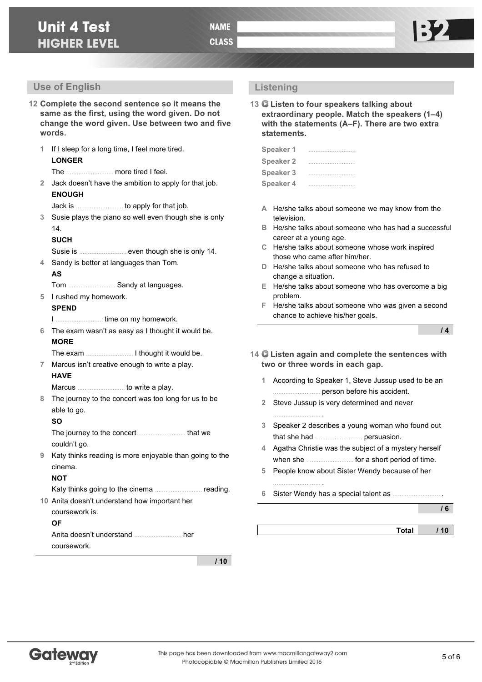- **12 Complete the second sentence so it means the same as the first, using the word given. Do not change the word given. Use between two and five words.**
	- **1** If I sleep for a long time, I feel more tired. **LONGER** The ……………………… more tired I feel. **2** Jack doesn't have the ambition to apply for that job.
	- **ENOUGH**
		- Jack is ……………………… to apply for that job.
	- **3** Susie plays the piano so well even though she is only 14.
		- **SUCH**
		- Susie is ……………………… even though she is only 14.
	- **4** Sandy is better at languages than Tom. **AS**
		- Tom ……………………… Sandy at languages.
	- **5** I rushed my homework. **SPEND**
		- I ……………………… time on my homework.
	- **6** The exam wasn't as easy as I thought it would be. **MORE**
	- The exam ……………………… I thought it would be.
	- **7** Marcus isn't creative enough to write a play. **HAVE**
		- Marcus ……………………… to write a play.
	- **8** The journey to the concert was too long for us to be able to go.
		- **SO**

The journey to the concert ……………………… that we couldn't go.

**9** Katy thinks reading is more enjoyable than going to the cinema.

### **NOT**

Katy thinks going to the cinema ……………………… reading.

**10** Anita doesn't understand how important her coursework is. **OF** Anita doesn't understand ……………………… her

coursework.

**/ 10**

# **Listening**

**13 Listen to four speakers talking about extraordinary people. Match the speakers (1–4) with the statements (A–F). There are two extra statements.**

| Speaker 1        |  |
|------------------|--|
| <b>Speaker 2</b> |  |
| <b>Speaker 3</b> |  |
| <b>Speaker 4</b> |  |

- **A** He/she talks about someone we may know from the television.
- **B** He/she talks about someone who has had a successful career at a young age.
- **C** He/she talks about someone whose work inspired those who came after him/her.
- **D** He/she talks about someone who has refused to change a situation.
- **E** He/she talks about someone who has overcome a big problem.
- **F** He/she talks about someone who was given a second chance to achieve his/her goals.

**/ 4**

- **14 Listen again and complete the sentences with two or three words in each gap.**
	- **1** According to Speaker 1, Steve Jussup used to be an ……………………… person before his accident.
	- **2** Steve Jussup is very determined and never ……………………… .
	- **3** Speaker 2 describes a young woman who found out that she had ……………………… persuasion.
	- **4** Agatha Christie was the subject of a mystery herself when she ……………………… for a short period of time.
	- **5** People know about Sister Wendy because of her
	- **6** Sister Wendy has a special talent as .......

……………………… .

**/ 6**

**Total / 10**